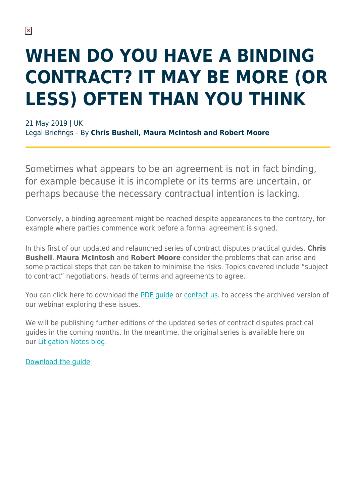## **WHEN DO YOU HAVE A BINDING CONTRACT? IT MAY BE MORE (OR LESS) OFTEN THAN YOU THINK**

21 May 2019 | UK Legal Briefings – By **Chris Bushell, Maura McIntosh and Robert Moore**

Sometimes what appears to be an agreement is not in fact binding, for example because it is incomplete or its terms are uncertain, or perhaps because the necessary contractual intention is lacking.

Conversely, a binding agreement might be reached despite appearances to the contrary, for example where parties commence work before a formal agreement is signed.

In this first of our updated and relaunched series of contract disputes practical guides, **Chris Bushell**, **Maura McIntosh** and **Robert Moore** consider the problems that can arise and some practical steps that can be taken to minimise the risks. Topics covered include "subject to contract" negotiations, heads of terms and agreements to agree.

You can click here to download the [PDF guide](https://www.herbertsmithfreehills.com/file/34911/download?token=39qaotOI) or [contact us](mailto:webinars@hsf.com?subject=Recording%20request%20-%20HSF%20Guide%20to%20Private%20Wealth%20in%20Asia%20-%2024%20Jan%202019). to access the archived version of our webinar exploring these issues.

We will be publishing further editions of the updated series of contract disputes practical guides in the coming months. In the meantime, the original series is available here on our [Litigation Notes blog.](https://hsfnotes.com/litigation/)

[Download the guide](https://www.herbertsmithfreehills.com/file/34911/download?token=39qaotOI)